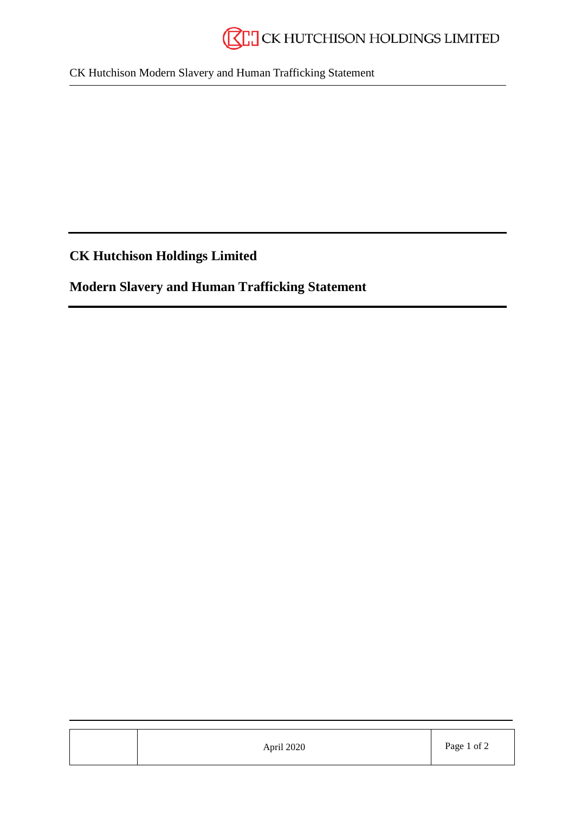CK Hutchison Modern Slavery and Human Trafficking Statement

**CK Hutchison Holdings Limited**

**Modern Slavery and Human Trafficking Statement**

| April 2020 | Page 1 of 2 |
|------------|-------------|